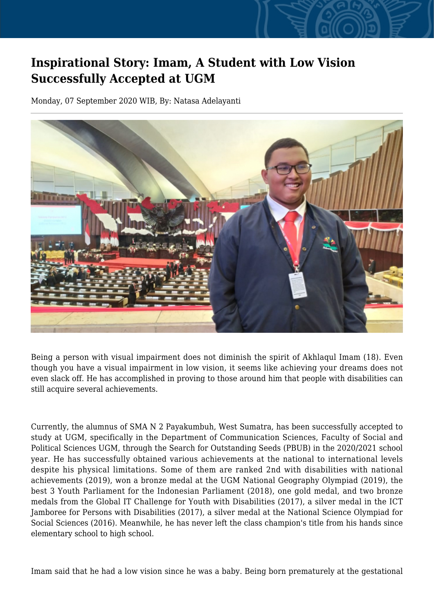## **Inspirational Story: Imam, A Student with Low Vision Successfully Accepted at UGM**

Monday, 07 September 2020 WIB, By: Natasa Adelayanti



Being a person with visual impairment does not diminish the spirit of Akhlaqul Imam (18). Even though you have a visual impairment in low vision, it seems like achieving your dreams does not even slack off. He has accomplished in proving to those around him that people with disabilities can still acquire several achievements.

Currently, the alumnus of SMA N 2 Payakumbuh, West Sumatra, has been successfully accepted to study at UGM, specifically in the Department of Communication Sciences, Faculty of Social and Political Sciences UGM, through the Search for Outstanding Seeds (PBUB) in the 2020/2021 school year. He has successfully obtained various achievements at the national to international levels despite his physical limitations. Some of them are ranked 2nd with disabilities with national achievements (2019), won a bronze medal at the UGM National Geography Olympiad (2019), the best 3 Youth Parliament for the Indonesian Parliament (2018), one gold medal, and two bronze medals from the Global IT Challenge for Youth with Disabilities (2017), a silver medal in the ICT Jamboree for Persons with Disabilities (2017), a silver medal at the National Science Olympiad for Social Sciences (2016). Meanwhile, he has never left the class champion's title from his hands since elementary school to high school.

Imam said that he had a low vision since he was a baby. Being born prematurely at the gestational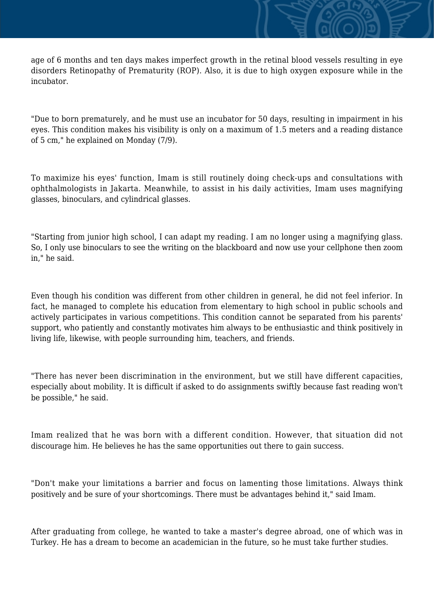age of 6 months and ten days makes imperfect growth in the retinal blood vessels resulting in eye disorders Retinopathy of Prematurity (ROP). Also, it is due to high oxygen exposure while in the incubator.

"Due to born prematurely, and he must use an incubator for 50 days, resulting in impairment in his eyes. This condition makes his visibility is only on a maximum of 1.5 meters and a reading distance of 5 cm," he explained on Monday (7/9).

To maximize his eyes' function, Imam is still routinely doing check-ups and consultations with ophthalmologists in Jakarta. Meanwhile, to assist in his daily activities, Imam uses magnifying glasses, binoculars, and cylindrical glasses.

"Starting from junior high school, I can adapt my reading. I am no longer using a magnifying glass. So, I only use binoculars to see the writing on the blackboard and now use your cellphone then zoom in," he said.

Even though his condition was different from other children in general, he did not feel inferior. In fact, he managed to complete his education from elementary to high school in public schools and actively participates in various competitions. This condition cannot be separated from his parents' support, who patiently and constantly motivates him always to be enthusiastic and think positively in living life, likewise, with people surrounding him, teachers, and friends.

"There has never been discrimination in the environment, but we still have different capacities, especially about mobility. It is difficult if asked to do assignments swiftly because fast reading won't be possible," he said.

Imam realized that he was born with a different condition. However, that situation did not discourage him. He believes he has the same opportunities out there to gain success.

"Don't make your limitations a barrier and focus on lamenting those limitations. Always think positively and be sure of your shortcomings. There must be advantages behind it," said Imam.

After graduating from college, he wanted to take a master's degree abroad, one of which was in Turkey. He has a dream to become an academician in the future, so he must take further studies.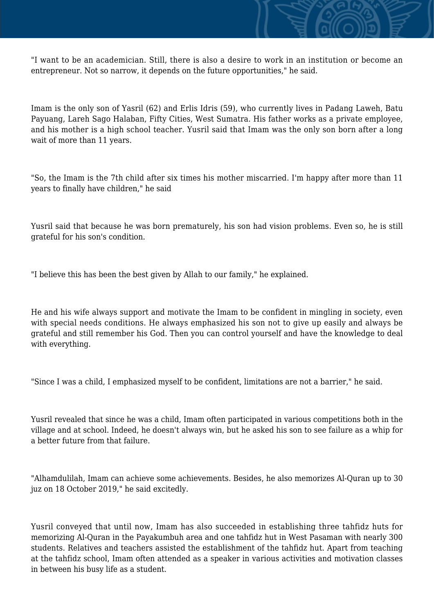

"I want to be an academician. Still, there is also a desire to work in an institution or become an entrepreneur. Not so narrow, it depends on the future opportunities," he said.

Imam is the only son of Yasril (62) and Erlis Idris (59), who currently lives in Padang Laweh, Batu Payuang, Lareh Sago Halaban, Fifty Cities, West Sumatra. His father works as a private employee, and his mother is a high school teacher. Yusril said that Imam was the only son born after a long wait of more than 11 years.

"So, the Imam is the 7th child after six times his mother miscarried. I'm happy after more than 11 years to finally have children," he said

Yusril said that because he was born prematurely, his son had vision problems. Even so, he is still grateful for his son's condition.

"I believe this has been the best given by Allah to our family," he explained.

He and his wife always support and motivate the Imam to be confident in mingling in society, even with special needs conditions. He always emphasized his son not to give up easily and always be grateful and still remember his God. Then you can control yourself and have the knowledge to deal with everything.

"Since I was a child, I emphasized myself to be confident, limitations are not a barrier," he said.

Yusril revealed that since he was a child, Imam often participated in various competitions both in the village and at school. Indeed, he doesn't always win, but he asked his son to see failure as a whip for a better future from that failure.

"Alhamdulilah, Imam can achieve some achievements. Besides, he also memorizes Al-Quran up to 30 juz on 18 October 2019," he said excitedly.

Yusril conveyed that until now, Imam has also succeeded in establishing three tahfidz huts for memorizing Al-Quran in the Payakumbuh area and one tahfidz hut in West Pasaman with nearly 300 students. Relatives and teachers assisted the establishment of the tahfidz hut. Apart from teaching at the tahfidz school, Imam often attended as a speaker in various activities and motivation classes in between his busy life as a student.